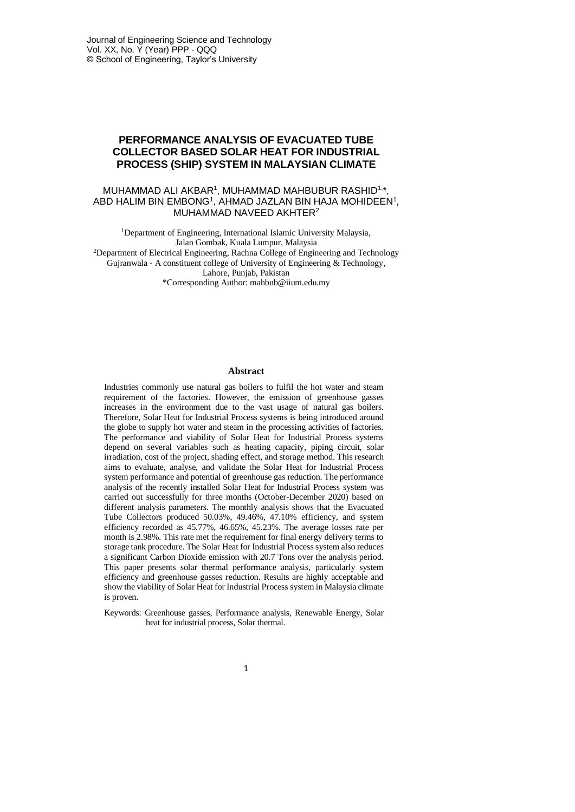# **PERFORMANCE ANALYSIS OF EVACUATED TUBE COLLECTOR BASED SOLAR HEAT FOR INDUSTRIAL PROCESS (SHIP) SYSTEM IN MALAYSIAN CLIMATE**

### MUHAMMAD ALI AKBAR<sup>1</sup>, MUHAMMAD MAHBUBUR RASHID<sup>1,</sup>\*, ABD HALIM BIN EMBONG<sup>1</sup>, AHMAD JAZLAN BIN HAJA MOHIDEEN<sup>1</sup>, MUHAMMAD NAVEED AKHTER<sup>2</sup>

<sup>1</sup>Department of Engineering, International Islamic University Malaysia, Jalan Gombak, Kuala Lumpur, Malaysia <sup>2</sup>Department of Electrical Engineering, Rachna College of Engineering and Technology Gujranwala - A constituent college of University of Engineering & Technology, Lahore, Punjab, Pakistan \*Corresponding Author: mahbub@iium.edu.my

#### **Abstract**

Industries commonly use natural gas boilers to fulfil the hot water and steam requirement of the factories. However, the emission of greenhouse gasses increases in the environment due to the vast usage of natural gas boilers. Therefore, Solar Heat for Industrial Process systems is being introduced around the globe to supply hot water and steam in the processing activities of factories. The performance and viability of Solar Heat for Industrial Process systems depend on several variables such as heating capacity, piping circuit, solar irradiation, cost of the project, shading effect, and storage method. This research aims to evaluate, analyse, and validate the Solar Heat for Industrial Process system performance and potential of greenhouse gas reduction. The performance analysis of the recently installed Solar Heat for Industrial Process system was carried out successfully for three months (October-December 2020) based on different analysis parameters. The monthly analysis shows that the Evacuated Tube Collectors produced 50.03%, 49.46%, 47.10% efficiency, and system efficiency recorded as 45.77%, 46.65%, 45.23%. The average losses rate per month is 2.98%. This rate met the requirement for final energy delivery terms to storage tank procedure. The Solar Heat for Industrial Process system also reduces a significant Carbon Dioxide emission with 20.7 Tons over the analysis period. This paper presents solar thermal performance analysis, particularly system efficiency and greenhouse gasses reduction. Results are highly acceptable and show the viability of Solar Heat for Industrial Process system in Malaysia climate is proven.

Keywords: Greenhouse gasses, Performance analysis, Renewable Energy, Solar heat for industrial process, Solar thermal.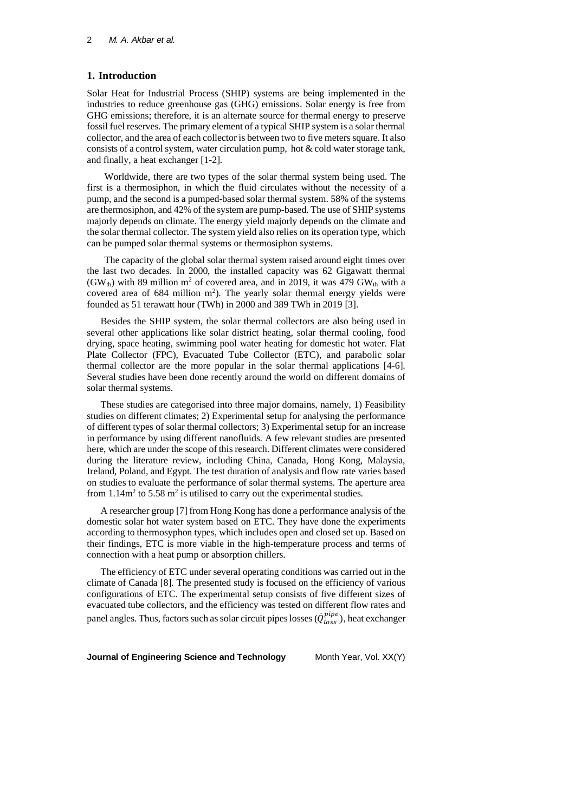### **1. Introduction**

Solar Heat for Industrial Process (SHIP) systems are being implemented in the industries to reduce greenhouse gas (GHG) emissions. Solar energy is free from GHG emissions; therefore, it is an alternate source for thermal energy to preserve fossil fuel reserves. The primary element of a typical SHIP system is a solar thermal collector, and the area of each collector is between two to five meters square. It also consists of a control system, water circulation pump, hot  $\&$  cold water storage tank, and finally, a heat exchanger [1-2].

Worldwide, there are two types of the solar thermal system being used. The first is a thermosiphon, in which the fluid circulates without the necessity of a pump, and the second is a pumped-based solar thermal system. 58% of the systems are thermosiphon, and 42% of the system are pump-based. The use of SHIP systems majorly depends on climate. The energy yield majorly depends on the climate and the solar thermal collector. The system yield also relies on its operation type, which can be pumped solar thermal systems or thermosiphon systems.

The capacity of the global solar thermal system raised around eight times over the last two decades. In 2000, the installed capacity was 62 Gigawatt thermal (GW<sub>th</sub>) with 89 million m<sup>2</sup> of covered area, and in 2019, it was 479 GW<sub>th</sub> with a covered area of  $684$  million m<sup>2</sup>). The yearly solar thermal energy yields were founded as 51 terawatt hour (TWh) in 2000 and 389 TWh in 2019 [3].

Besides the SHIP system, the solar thermal collectors are also being used in several other applications like solar district heating, solar thermal cooling, food drying, space heating, swimming pool water heating for domestic hot water. Flat Plate Collector (FPC), Evacuated Tube Collector (ETC), and parabolic solar thermal collector are the more popular in the solar thermal applications [4-6]. Several studies have been done recently around the world on different domains of solar thermal systems.

These studies are categorised into three major domains, namely, 1) Feasibility studies on different climates; 2) Experimental setup for analysing the performance of different types of solar thermal collectors; 3) Experimental setup for an increase in performance by using different nanofluids. A few relevant studies are presented here, which are under the scope of this research. Different climates were considered during the literature review, including China, Canada, Hong Kong, Malaysia, Ireland, Poland, and Egypt. The test duration of analysis and flow rate varies based on studies to evaluate the performance of solar thermal systems. The aperture area from  $1.14m<sup>2</sup>$  to  $5.58 m<sup>2</sup>$  is utilised to carry out the experimental studies.

A researcher group [7] from Hong Kong has done a performance analysis of the domestic solar hot water system based on ETC. They have done the experiments according to thermosyphon types, which includes open and closed set up. Based on their findings, ETC is more viable in the high-temperature process and terms of connection with a heat pump or absorption chillers.

The efficiency of ETC under several operating conditions was carried out in the climate of Canada [8]. The presented study is focused on the efficiency of various configurations of ETC. The experimental setup consists of five different sizes of evacuated tube collectors, and the efficiency was tested on different flow rates and panel angles. Thus, factors such as solar circuit pipes losses ( $\dot{Q}^{pipe}_{loss}$ ), heat exchanger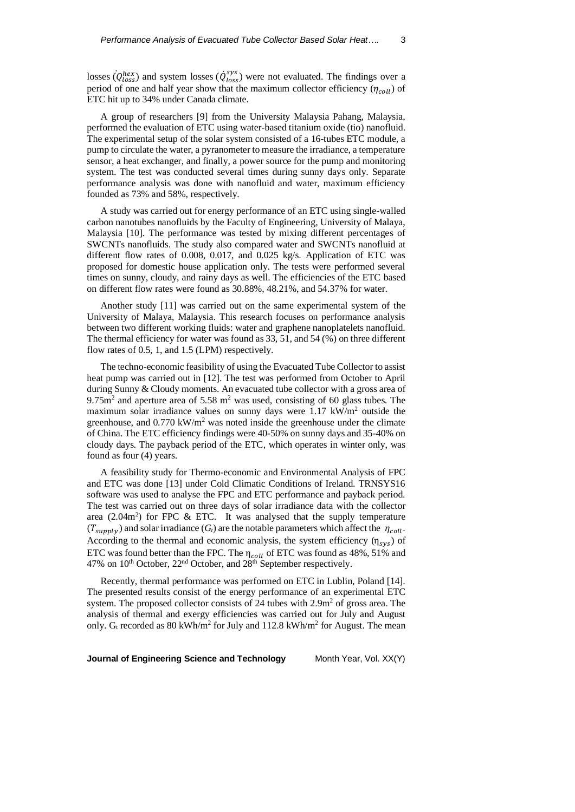losses  $(Q_{loss}^{hex})$  and system losses  $(\dot{Q}_{loss}^{sys})$  were not evaluated. The findings over a period of one and half year show that the maximum collector efficiency  $(\eta_{coll})$  of ETC hit up to 34% under Canada climate.

A group of researchers [9] from the University Malaysia Pahang, Malaysia, performed the evaluation of ETC using water-based titanium oxide (tio) nanofluid. The experimental setup of the solar system consisted of a 16-tubes ETC module, a pump to circulate the water, a pyranometer to measure the irradiance, a temperature sensor, a heat exchanger, and finally, a power source for the pump and monitoring system. The test was conducted several times during sunny days only. Separate performance analysis was done with nanofluid and water, maximum efficiency founded as 73% and 58%, respectively.

A study was carried out for energy performance of an ETC using single-walled carbon nanotubes nanofluids by the Faculty of Engineering, University of Malaya, Malaysia [10]. The performance was tested by mixing different percentages of SWCNTs nanofluids. The study also compared water and SWCNTs nanofluid at different flow rates of 0.008, 0.017, and 0.025 kg/s. Application of ETC was proposed for domestic house application only. The tests were performed several times on sunny, cloudy, and rainy days as well. The efficiencies of the ETC based on different flow rates were found as 30.88%, 48.21%, and 54.37% for water.

Another study [11] was carried out on the same experimental system of the University of Malaya, Malaysia. This research focuses on performance analysis between two different working fluids: water and graphene nanoplatelets nanofluid. The thermal efficiency for water was found as 33, 51, and 54 (%) on three different flow rates of 0.5, 1, and 1.5 (LPM) respectively.

The techno-economic feasibility of using the Evacuated Tube Collector to assist heat pump was carried out in [12]. The test was performed from October to April during Sunny & Cloudy moments. An evacuated tube collector with a gross area of  $9.75m<sup>2</sup>$  and aperture area of 5.58 m<sup>2</sup> was used, consisting of 60 glass tubes. The maximum solar irradiance values on sunny days were  $1.17 \text{ kW/m}^2$  outside the greenhouse, and  $0.770 \text{ kW/m}^2$  was noted inside the greenhouse under the climate of China. The ETC efficiency findings were 40-50% on sunny days and 35-40% on cloudy days. The payback period of the ETC, which operates in winter only, was found as four (4) years.

A feasibility study for Thermo-economic and Environmental Analysis of FPC and ETC was done [13] under Cold Climatic Conditions of Ireland. TRNSYS16 software was used to analyse the FPC and ETC performance and payback period. The test was carried out on three days of solar irradiance data with the collector area  $(2.04m<sup>2</sup>)$  for FPC & ETC. It was analysed that the supply temperature  $(T_{supply})$  and solar irradiance  $(G_t)$  are the notable parameters which affect the  $\eta_{coll}$ . According to the thermal and economic analysis, the system efficiency  $(\eta_{sys})$  of ETC was found better than the FPC. The  $\eta_{coll}$  of ETC was found as 48%, 51% and 47% on 10<sup>th</sup> October, 22<sup>nd</sup> October, and 28<sup>th</sup> September respectively.

Recently, thermal performance was performed on ETC in Lublin, Poland [14]. The presented results consist of the energy performance of an experimental ETC system. The proposed collector consists of 24 tubes with  $2.9m<sup>2</sup>$  of gross area. The analysis of thermal and exergy efficiencies was carried out for July and August only. G<sub>t</sub> recorded as 80 kWh/m<sup>2</sup> for July and 112.8 kWh/m<sup>2</sup> for August. The mean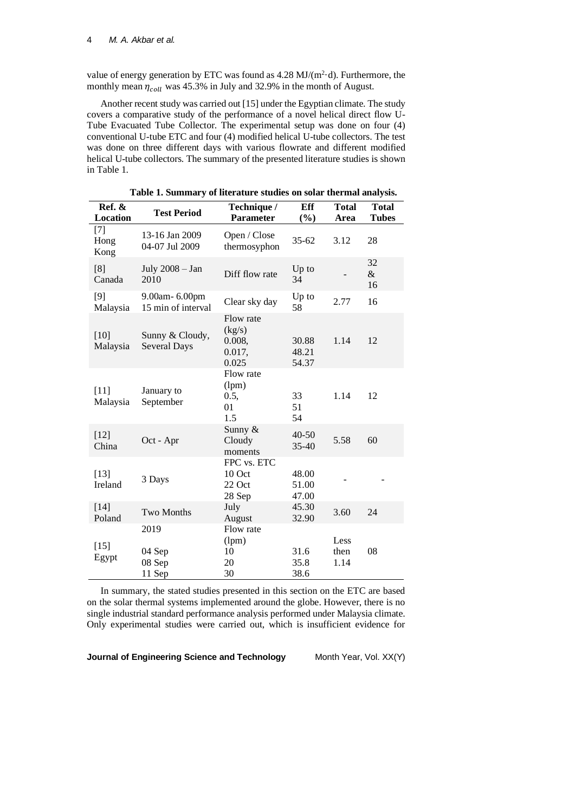value of energy generation by ETC was found as  $4.28 \text{ MJ/(m}^2 \cdot d)$ . Furthermore, the monthly mean  $\eta_{coll}$  was 45.3% in July and 32.9% in the month of August.

Another recent study was carried out [15] under the Egyptian climate. The study covers a comparative study of the performance of a novel helical direct flow U-Tube Evacuated Tube Collector. The experimental setup was done on four (4) conventional U-tube ETC and four (4) modified helical U-tube collectors. The test was done on three different days with various flowrate and different modified helical U-tube collectors. The summary of the presented literature studies is shown in Table 1.

| Ref. &<br>Location    | <b>Test Period</b>                  | Technique /<br><b>Parameter</b>                  | Eff<br>(%)              | <b>Total</b><br>Area | <b>Total</b><br><b>Tubes</b> |
|-----------------------|-------------------------------------|--------------------------------------------------|-------------------------|----------------------|------------------------------|
| $[7]$<br>Hong<br>Kong | 13-16 Jan 2009<br>04-07 Jul 2009    | Open / Close<br>thermosyphon                     | $35 - 62$               | 3.12                 | 28                           |
| [8]<br>Canada         | July 2008 - Jan<br>2010             | Diff flow rate                                   | Up to<br>34             |                      | 32<br>$\&$<br>16             |
| $[9]$<br>Malaysia     | 9.00am-6.00pm<br>15 min of interval | Clear sky day                                    | Up to<br>58             | 2.77                 | 16                           |
| $[10]$<br>Malaysia    | Sunny & Cloudy,<br>Several Days     | Flow rate<br>(kg/s)<br>0.008,<br>0.017,<br>0.025 | 30.88<br>48.21<br>54.37 | 1.14                 | 12                           |
| $[11]$<br>Malaysia    | January to<br>September             | Flow rate<br>(lpm)<br>0.5,<br>01<br>1.5          | 33<br>51<br>54          | 1.14                 | 12                           |
| $[12]$<br>China       | Oct - Apr                           | Sunny &<br>Cloudy<br>moments                     | 40-50<br>35-40          | 5.58                 | 60                           |
| $[13]$<br>Ireland     | 3 Days                              | FPC vs. ETC<br>10 Oct<br>22 Oct<br>28 Sep        | 48.00<br>51.00<br>47.00 |                      |                              |
| $[14]$<br>Poland      | Two Months                          | July<br>August                                   | 45.30<br>32.90          | 3.60                 | 24                           |
| $[15]$<br>Egypt       | 2019<br>04 Sep<br>08 Sep<br>11 Sep  | Flow rate<br>(lpm)<br>10<br>20<br>30             | 31.6<br>35.8<br>38.6    | Less<br>then<br>1.14 | 08                           |

**Table 1. Summary of literature studies on solar thermal analysis.**

In summary, the stated studies presented in this section on the ETC are based on the solar thermal systems implemented around the globe. However, there is no single industrial standard performance analysis performed under Malaysia climate. Only experimental studies were carried out, which is insufficient evidence for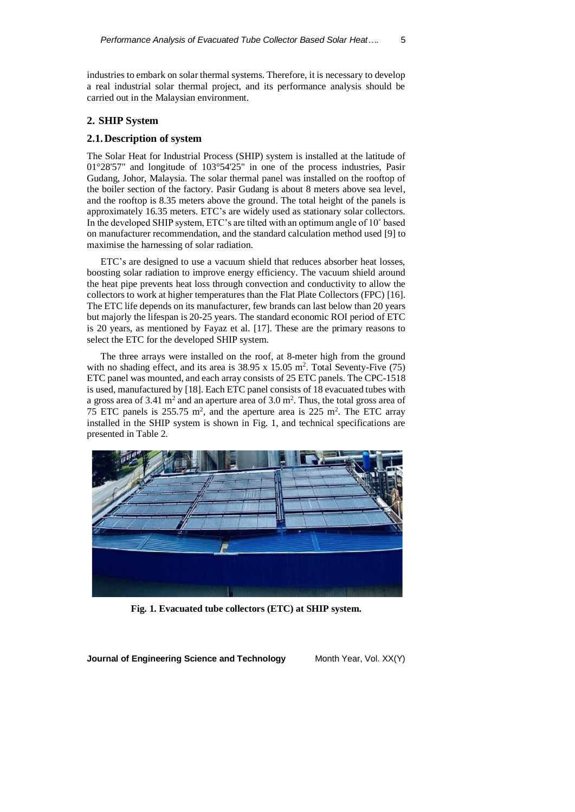industries to embark on solar thermal systems. Therefore, it is necessary to develop a real industrial solar thermal project, and its performance analysis should be carried out in the Malaysian environment.

### **2. SHIP System**

### **2.1.Description of system**

The Solar Heat for Industrial Process (SHIP) system is installed at the latitude of 01°28'57" and longitude of 103°54'25" in one of the process industries, Pasir Gudang, Johor, Malaysia. The solar thermal panel was installed on the rooftop of the boiler section of the factory. Pasir Gudang is about 8 meters above sea level, and the rooftop is 8.35 meters above the ground. The total height of the panels is approximately 16.35 meters. ETC's are widely used as stationary solar collectors. In the developed SHIP system, ETC's are tilted with an optimum angle of 10˚ based on manufacturer recommendation, and the standard calculation method used [9] to maximise the harnessing of solar radiation.

ETC's are designed to use a vacuum shield that reduces absorber heat losses, boosting solar radiation to improve energy efficiency. The vacuum shield around the heat pipe prevents heat loss through convection and conductivity to allow the collectors to work at higher temperatures than the Flat Plate Collectors (FPC) [16]. The ETC life depends on its manufacturer, few brands can last below than 20 years but majorly the lifespan is 20-25 years. The standard economic ROI period of ETC is 20 years, as mentioned by Fayaz et al. [17]. These are the primary reasons to select the ETC for the developed SHIP system.

The three arrays were installed on the roof, at 8-meter high from the ground with no shading effect, and its area is  $38.95 \times 15.05$  m<sup>2</sup>. Total Seventy-Five (75) ETC panel was mounted, and each array consists of 25 ETC panels. The CPC-1518 is used, manufactured by [18]. Each ETC panel consists of 18 evacuated tubes with a gross area of 3.41  $m<sup>2</sup>$  and an aperture area of 3.0  $m<sup>2</sup>$ . Thus, the total gross area of 75 ETC panels is  $255.75 \text{ m}^2$ , and the aperture area is  $225 \text{ m}^2$ . The ETC array installed in the SHIP system is shown in Fig. 1, and technical specifications are presented in Table 2.



**Fig. 1. Evacuated tube collectors (ETC) at SHIP system.**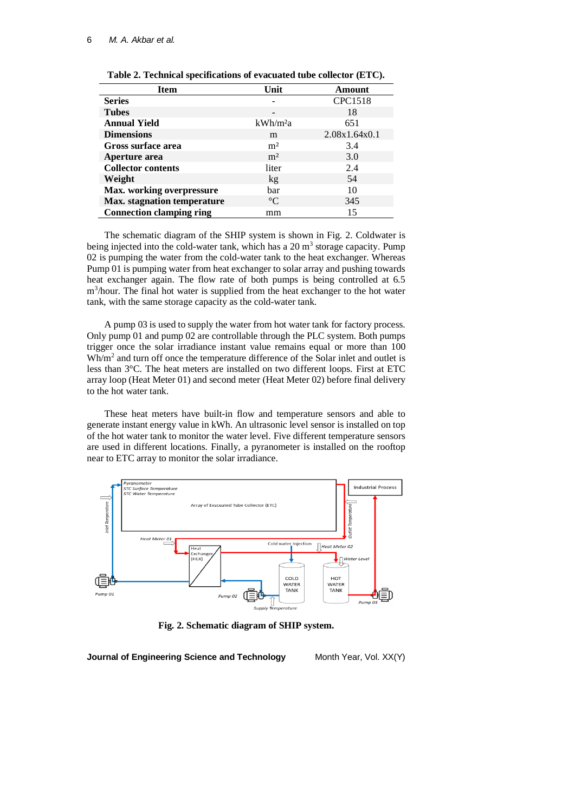| <b>Item</b>                        | Unit                 | <b>Amount</b>  |
|------------------------------------|----------------------|----------------|
| <b>Series</b>                      |                      | <b>CPC1518</b> |
| <b>Tubes</b>                       |                      | 18             |
| <b>Annual Yield</b>                | kWh/m <sup>2</sup> a | 651            |
| <b>Dimensions</b>                  | m                    | 2.08x1.64x0.1  |
| Gross surface area                 | m <sup>2</sup>       | 3.4            |
| Aperture area                      | m <sup>2</sup>       | 3.0            |
| <b>Collector contents</b>          | liter                | 2.4            |
| Weight                             | k <i>g</i>           | 54             |
| <b>Max.</b> working overpressure   | bar                  | 10             |
| <b>Max.</b> stagnation temperature | $\rm ^{\circ}C$      | 345            |
| <b>Connection clamping ring</b>    | mm                   | 15             |

**Table 2. Technical specifications of evacuated tube collector (ETC).**

The schematic diagram of the SHIP system is shown in Fig. 2. Coldwater is being injected into the cold-water tank, which has a  $20 \text{ m}^3$  storage capacity. Pump 02 is pumping the water from the cold-water tank to the heat exchanger. Whereas Pump 01 is pumping water from heat exchanger to solar array and pushing towards heat exchanger again. The flow rate of both pumps is being controlled at 6.5 m<sup>3</sup>/hour. The final hot water is supplied from the heat exchanger to the hot water tank, with the same storage capacity as the cold-water tank.

A pump 03 is used to supply the water from hot water tank for factory process. Only pump 01 and pump 02 are controllable through the PLC system. Both pumps trigger once the solar irradiance instant value remains equal or more than 100 Wh/m<sup>2</sup> and turn off once the temperature difference of the Solar inlet and outlet is less than 3°C. The heat meters are installed on two different loops. First at ETC array loop (Heat Meter 01) and second meter (Heat Meter 02) before final delivery to the hot water tank.

These heat meters have built-in flow and temperature sensors and able to generate instant energy value in kWh. An ultrasonic level sensor is installed on top of the hot water tank to monitor the water level. Five different temperature sensors are used in different locations. Finally, a pyranometer is installed on the rooftop near to ETC array to monitor the solar irradiance.



**Fig. 2. Schematic diagram of SHIP system.**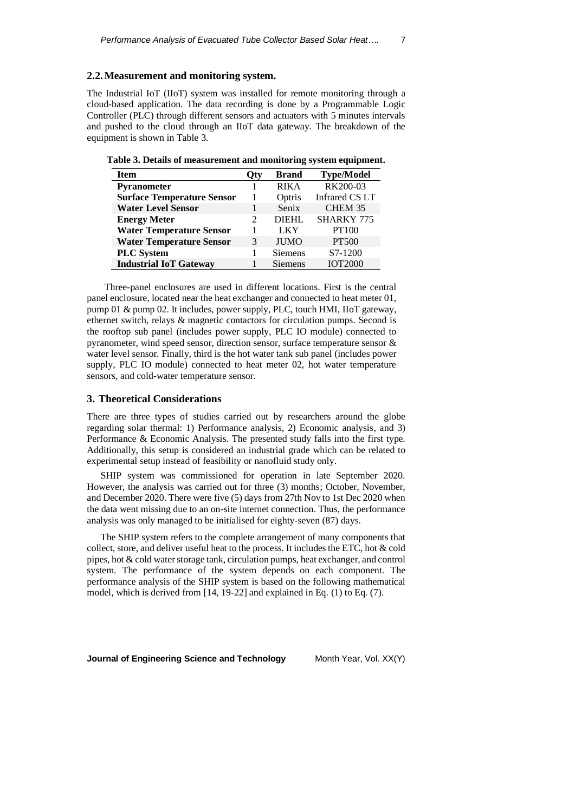## **2.2.Measurement and monitoring system.**

The Industrial IoT (IIoT) system was installed for remote monitoring through a cloud-based application. The data recording is done by a Programmable Logic Controller (PLC) through different sensors and actuators with 5 minutes intervals and pushed to the cloud through an IIoT data gateway. The breakdown of the equipment is shown in Table 3.

| <b>Item</b>                       | Otv           | <b>Brand</b>   | <b>Type/Model</b>     |
|-----------------------------------|---------------|----------------|-----------------------|
| Pyranometer                       |               | <b>RIKA</b>    | RK200-03              |
| <b>Surface Temperature Sensor</b> |               | Optris         | <b>Infrared CS LT</b> |
| <b>Water Level Sensor</b>         |               | Senix          | CHEM 35               |
| <b>Energy Meter</b>               | $\mathcal{D}$ | DIEHI.         | <b>SHARKY 775</b>     |
| <b>Water Temperature Sensor</b>   |               | <b>LKY</b>     | PT100                 |
| <b>Water Temperature Sensor</b>   | 3             | <b>JUMO</b>    | <b>PT500</b>          |
| <b>PLC</b> System                 |               | <b>Siemens</b> | S7-1200               |
| <b>Industrial IoT Gateway</b>     |               | <b>Siemens</b> | <b>IOT2000</b>        |

**Table 3. Details of measurement and monitoring system equipment.**

Three-panel enclosures are used in different locations. First is the central panel enclosure, located near the heat exchanger and connected to heat meter 01, pump 01 & pump 02. It includes, power supply, PLC, touch HMI, IIoT gateway, ethernet switch, relays & magnetic contactors for circulation pumps. Second is the rooftop sub panel (includes power supply, PLC IO module) connected to pyranometer, wind speed sensor, direction sensor, surface temperature sensor & water level sensor. Finally, third is the hot water tank sub panel (includes power supply, PLC IO module) connected to heat meter 02, hot water temperature sensors, and cold-water temperature sensor.

## **3. Theoretical Considerations**

There are three types of studies carried out by researchers around the globe regarding solar thermal: 1) Performance analysis, 2) Economic analysis, and 3) Performance & Economic Analysis. The presented study falls into the first type. Additionally, this setup is considered an industrial grade which can be related to experimental setup instead of feasibility or nanofluid study only.

SHIP system was commissioned for operation in late September 2020. However, the analysis was carried out for three (3) months; October, November, and December 2020. There were five (5) days from 27th Nov to 1st Dec 2020 when the data went missing due to an on-site internet connection. Thus, the performance analysis was only managed to be initialised for eighty-seven (87) days.

The SHIP system refers to the complete arrangement of many components that collect, store, and deliver useful heat to the process. It includes the ETC, hot & cold pipes, hot & cold water storage tank, circulation pumps, heat exchanger, and control system. The performance of the system depends on each component. The performance analysis of the SHIP system is based on the following mathematical model, which is derived from [14, 19-22] and explained in Eq. (1) to Eq. (7).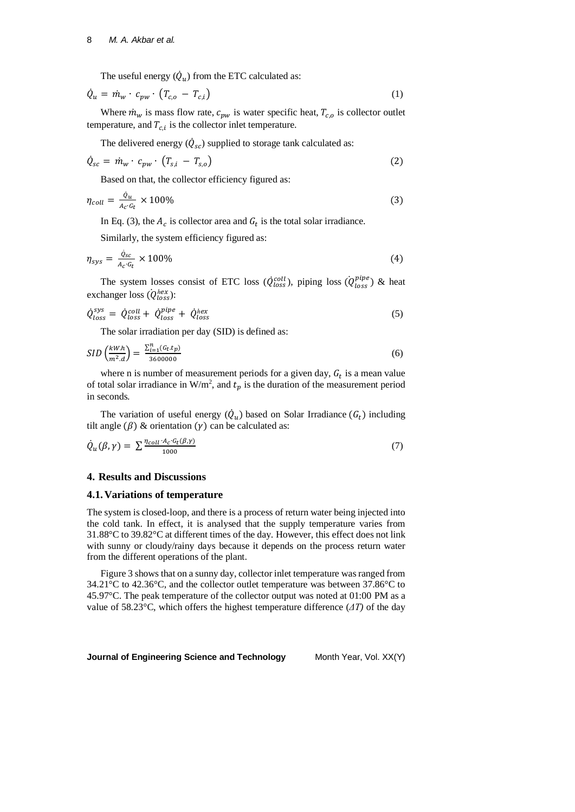The useful energy  $(\dot{Q}_u)$  from the ETC calculated as:

$$
\dot{Q}_u = \dot{m}_w \cdot c_{pw} \cdot (T_{c,o} - T_{c,i}) \tag{1}
$$

Where  $\dot{m}_w$  is mass flow rate,  $c_{pw}$  is water specific heat,  $T_{c,o}$  is collector outlet temperature, and  $T_{c,i}$  is the collector inlet temperature.

The delivered energy  $(\dot{Q}_{sc})$  supplied to storage tank calculated as:

$$
\dot{Q}_{sc} = \dot{m}_w \cdot c_{pw} \cdot (T_{s,i} - T_{s,o}) \tag{2}
$$

Based on that, the collector efficiency figured as:

$$
\eta_{coll} = \frac{\dot{Q}_u}{A_C \cdot G_t} \times 100\%
$$
\n<sup>(3)</sup>

In Eq. (3), the  $A_c$  is collector area and  $G_t$  is the total solar irradiance.

Similarly, the system efficiency figured as:

$$
\eta_{sys} = \frac{\dot{Q}_{sc}}{A_c \cdot G_t} \times 100\%
$$
\n(4)

The system losses consist of ETC loss ( $\dot{Q}^{coll}_{loss}$ ), piping loss ( $\dot{Q}^{pipe}_{loss}$ ) & heat exchanger loss ( $\dot{Q}_{loss}^{hex}$ ):

$$
\dot{Q}_{loss}^{sys} = \dot{Q}_{loss}^{coll} + \dot{Q}_{loss}^{pipe} + \dot{Q}_{loss}^{hex}
$$
\n(5)

The solar irradiation per day (SID) is defined as:

$$
SID\left(\frac{kW.h}{m^2.d}\right) = \frac{\sum_{i=1}^{n} (G_t \cdot t_p)}{3600000}
$$
\n(6)

where n is number of measurement periods for a given day,  $G_t$  is a mean value of total solar irradiance in W/m<sup>2</sup>, and  $t_p$  is the duration of the measurement period in seconds.

The variation of useful energy  $(\dot{Q}_u)$  based on Solar Irradiance  $(G_t)$  including tilt angle  $(\beta)$  & orientation  $(\gamma)$  can be calculated as:

$$
\dot{Q}_u(\beta, \gamma) = \sum \frac{\eta_{coll} \cdot A_C \cdot G_t(\beta, \gamma)}{1000} \tag{7}
$$

# **4. Results and Discussions**

#### **4.1.Variations of temperature**

The system is closed-loop, and there is a process of return water being injected into the cold tank. In effect, it is analysed that the supply temperature varies from 31.88°C to 39.82°C at different times of the day. However, this effect does not link with sunny or cloudy/rainy days because it depends on the process return water from the different operations of the plant.

Figure 3 shows that on a sunny day, collector inlet temperature was ranged from 34.21°C to 42.36°C, and the collector outlet temperature was between 37.86°C to 45.97°C. The peak temperature of the collector output was noted at 01:00 PM as a value of 58.23°C, which offers the highest temperature difference (*ΔT)* of the day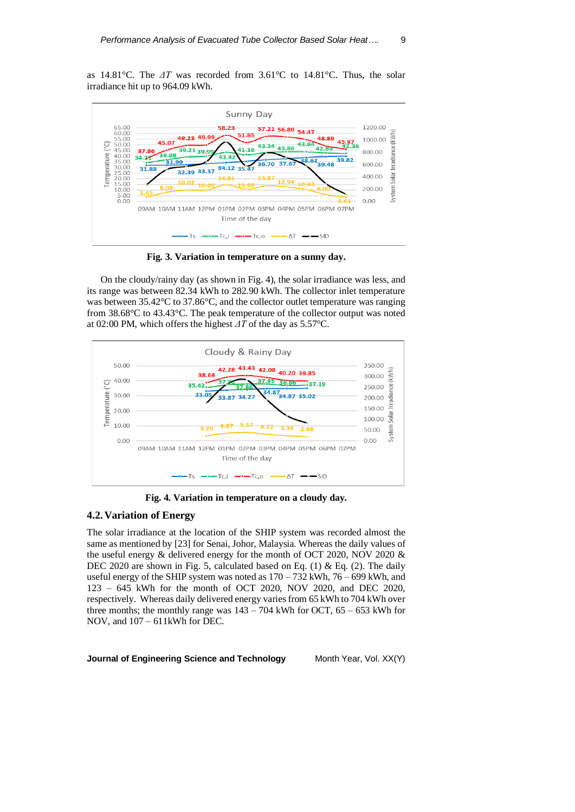as 14.81°C. The *ΔT* was recorded from 3.61°C to 14.81°C. Thus, the solar irradiance hit up to 964.09 kWh.



**Fig. 3. Variation in temperature on a sunny day.**

On the cloudy/rainy day (as shown in Fig. 4), the solar irradiance was less, and its range was between 82.34 kWh to 282.90 kWh. The collector inlet temperature was between 35.42°C to 37.86°C, and the collector outlet temperature was ranging from 38.68°C to 43.43°C. The peak temperature of the collector output was noted at 02:00 PM, which offers the highest *ΔT* of the day as 5.57°C.



**Fig. 4. Variation in temperature on a cloudy day.**

# **4.2.Variation of Energy**

The solar irradiance at the location of the SHIP system was recorded almost the same as mentioned by [23] for Senai, Johor, Malaysia. Whereas the daily values of the useful energy & delivered energy for the month of OCT 2020, NOV 2020 & DEC 2020 are shown in Fig. 5, calculated based on Eq. (1) & Eq. (2). The daily useful energy of the SHIP system was noted as  $170 - 732$  kWh,  $76 - 699$  kWh, and 123 – 645 kWh for the month of OCT 2020, NOV 2020, and DEC 2020, respectively. Whereas daily delivered energy varies from 65 kWh to 704 kWh over three months; the monthly range was  $143 - 704$  kWh for OCT,  $65 - 653$  kWh for NOV, and 107 – 611kWh for DEC.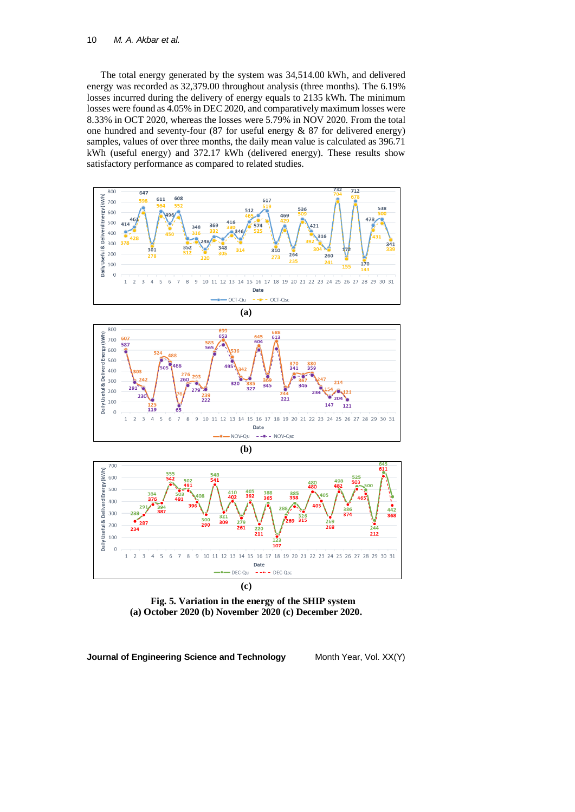The total energy generated by the system was 34,514.00 kWh, and delivered energy was recorded as 32,379.00 throughout analysis (three months). The 6.19% losses incurred during the delivery of energy equals to 2135 kWh. The minimum losses were found as 4.05% in DEC 2020, and comparatively maximum losses were 8.33% in OCT 2020, whereas the losses were 5.79% in NOV 2020. From the total one hundred and seventy-four (87 for useful energy & 87 for delivered energy) samples, values of over three months, the daily mean value is calculated as 396.71 kWh (useful energy) and 372.17 kWh (delivered energy). These results show satisfactory performance as compared to related studies.







**Fig. 5. Variation in the energy of the SHIP system (a) October 2020 (b) November 2020 (c) December 2020.**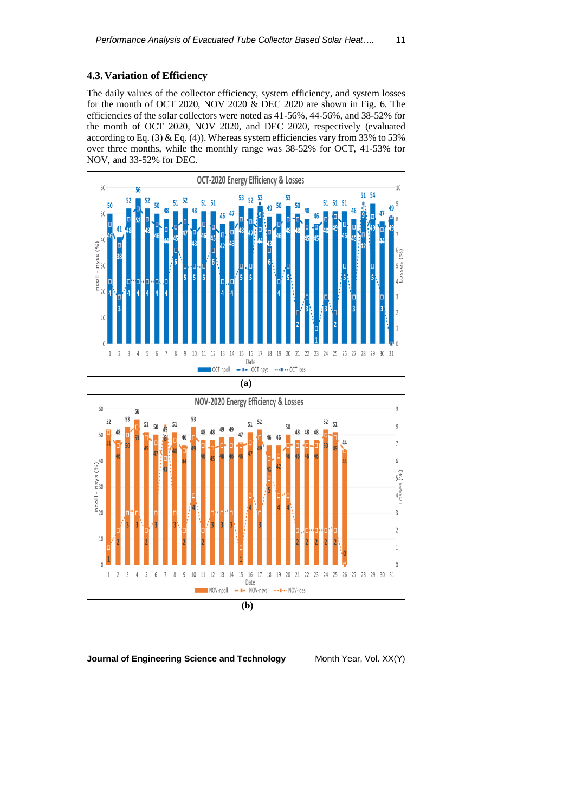# **4.3.Variation of Efficiency**

The daily values of the collector efficiency, system efficiency, and system losses for the month of OCT 2020, NOV 2020 & DEC 2020 are shown in Fig. 6. The efficiencies of the solar collectors were noted as 41-56%, 44-56%, and 38-52% for the month of OCT 2020, NOV 2020, and DEC 2020, respectively (evaluated according to Eq.  $(3)$  & Eq.  $(4)$ ). Whereas system efficiencies vary from 33% to 53% over three months, while the monthly range was 38-52% for OCT, 41-53% for NOV, and 33-52% for DEC.





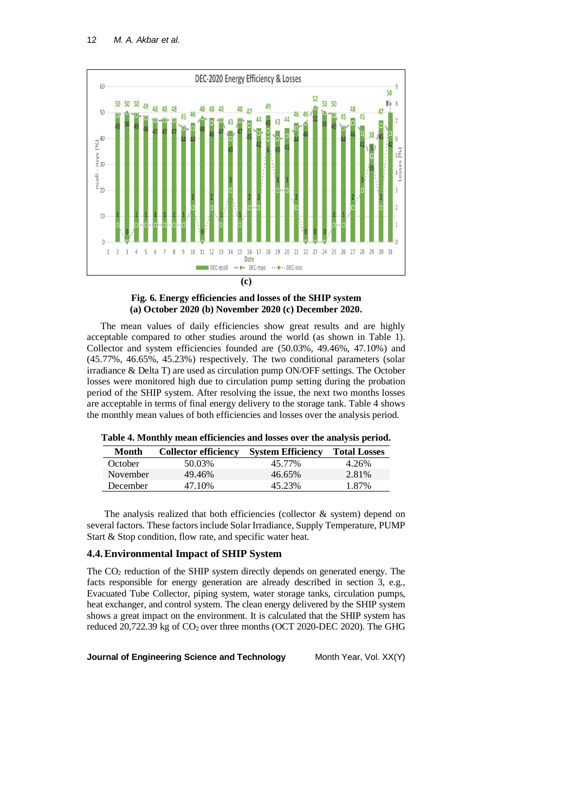

**Fig. 6. Energy efficiencies and losses of the SHIP system (a) October 2020 (b) November 2020 (c) December 2020.**

The mean values of daily efficiencies show great results and are highly acceptable compared to other studies around the world (as shown in Table 1). Collector and system efficiencies founded are (50.03%, 49.46%, 47.10%) and (45.77%, 46.65%, 45.23%) respectively. The two conditional parameters (solar irradiance & Delta T) are used as circulation pump ON/OFF settings. The October losses were monitored high due to circulation pump setting during the probation period of the SHIP system. After resolving the issue, the next two months losses are acceptable in terms of final energy delivery to the storage tank. Table 4 shows the monthly mean values of both efficiencies and losses over the analysis period.

| Table 4. Monthly mean efficiencies and losses over the analysis period. |  |  |  |
|-------------------------------------------------------------------------|--|--|--|
|-------------------------------------------------------------------------|--|--|--|

| Month    | <b>Collector efficiency</b> | <b>System Efficiency</b> | <b>Total Losses</b> |
|----------|-----------------------------|--------------------------|---------------------|
| October  | 50.03%                      | 45.77%                   | 4.26%               |
| November | 49.46%                      | 46.65%                   | 2.81%               |
| December | 47 10%                      | 45.23%                   | 1.87%               |

The analysis realized that both efficiencies (collector & system) depend on several factors. These factors include Solar Irradiance, Supply Temperature, PUMP Start & Stop condition, flow rate, and specific water heat.

## **4.4.Environmental Impact of SHIP System**

The CO<sup>2</sup> reduction of the SHIP system directly depends on generated energy. The facts responsible for energy generation are already described in section 3, e.g., Evacuated Tube Collector, piping system, water storage tanks, circulation pumps, heat exchanger, and control system. The clean energy delivered by the SHIP system shows a great impact on the environment. It is calculated that the SHIP system has reduced  $20,722.39$  kg of  $CO<sub>2</sub>$  over three months (OCT 2020-DEC 2020). The GHG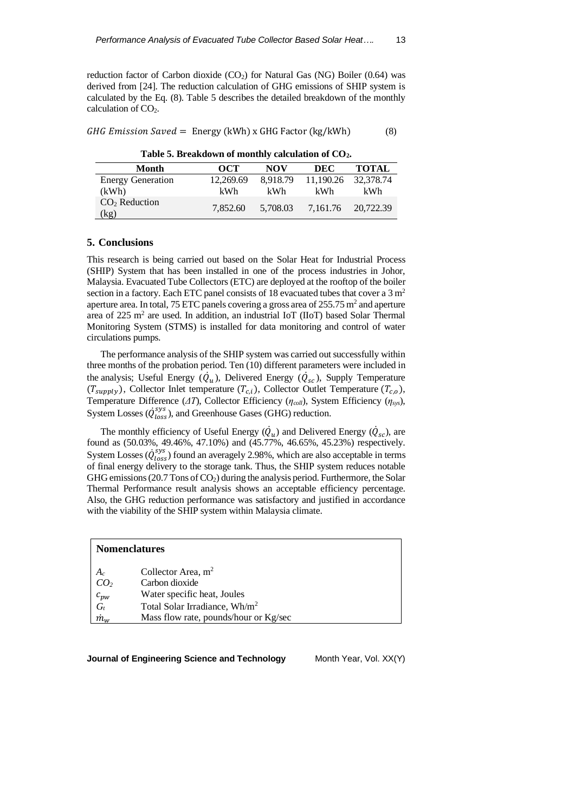reduction factor of Carbon dioxide  $(CO<sub>2</sub>)$  for Natural Gas (NG) Boiler (0.64) was derived from [24]. The reduction calculation of GHG emissions of SHIP system is calculated by the Eq. (8). Table 5 describes the detailed breakdown of the monthly calculation of  $CO<sub>2</sub>$ .

|  |  | GHG Emission Saved = Energy (kWh) x GHG Factor (kg/kWh) | (8) |
|--|--|---------------------------------------------------------|-----|
|  |  |                                                         |     |

**Table 5. Breakdown of monthly calculation of CO2.**

| Month                    | OCT       | NOV      | DEC       | <b>TOTAL</b>       |
|--------------------------|-----------|----------|-----------|--------------------|
| <b>Energy Generation</b> | 12.269.69 | 8.918.79 | 11.190.26 | 32.378.74          |
| (kWh)                    | kWh       | kWh      | kWh.      | kWh                |
| $CO2$ Reduction<br>(kg   | 7.852.60  | 5.708.03 |           | 7.161.76 20.722.39 |

#### **5. Conclusions**

This research is being carried out based on the Solar Heat for Industrial Process (SHIP) System that has been installed in one of the process industries in Johor, Malaysia. Evacuated Tube Collectors (ETC) are deployed at the rooftop of the boiler section in a factory. Each ETC panel consists of 18 evacuated tubes that cover a  $3 \text{ m}^2$ aperture area. In total, 75 ETC panels covering a gross area of  $255.75$  m<sup>2</sup> and aperture area of 225 m<sup>2</sup> are used. In addition, an industrial IoT (IIoT) based Solar Thermal Monitoring System (STMS) is installed for data monitoring and control of water circulations pumps.

The performance analysis of the SHIP system was carried out successfully within three months of the probation period. Ten (10) different parameters were included in the analysis; Useful Energy  $(\dot{Q}_u)$ , Delivered Energy  $(\dot{Q}_{sc})$ , Supply Temperature  $(T_{supply})$ , Collector Inlet temperature  $(T_{c,i})$ , Collector Outlet Temperature  $(T_{c,o})$ , Temperature Difference (*ΔT*), Collector Efficiency (*ηcoll*), System Efficiency (*ηsys*), System Losses ( $\dot{Q}_{loss}^{sys}$ ), and Greenhouse Gases (GHG) reduction.

The monthly efficiency of Useful Energy  $(\dot{Q}_u)$  and Delivered Energy  $(\dot{Q}_{sc})$ , are found as (50.03%, 49.46%, 47.10%) and (45.77%, 46.65%, 45.23%) respectively. System Losses ( $\dot{Q}^{sys}_{loss}$ ) found an averagely 2.98%, which are also acceptable in terms of final energy delivery to the storage tank. Thus, the SHIP system reduces notable GHG emissions (20.7 Tons of  $CO<sub>2</sub>$ ) during the analysis period. Furthermore, the Solar Thermal Performance result analysis shows an acceptable efficiency percentage. Also, the GHG reduction performance was satisfactory and justified in accordance with the viability of the SHIP system within Malaysia climate.

#### **Nomenclatures**

| $A_c$              | Collector Area, $m2$                      |
|--------------------|-------------------------------------------|
| CO <sub>2</sub>    | Carbon dioxide                            |
| $c_{\text{pw}}$    | Water specific heat, Joules               |
| $G_t$              | Total Solar Irradiance, Wh/m <sup>2</sup> |
| $\dot{m}_{\omega}$ | Mass flow rate, pounds/hour or Kg/sec     |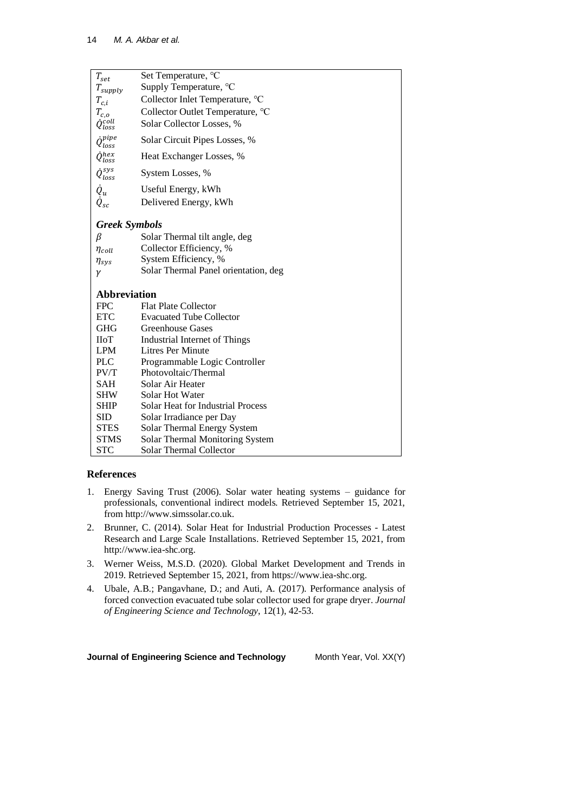| $T_{set}$               | Set Temperature, °C                      |
|-------------------------|------------------------------------------|
| $T_{supply}$            | Supply Temperature, °C                   |
| $T_{c,i}$               | Collector Inlet Temperature, °C          |
| $T_{c,o}$               | Collector Outlet Temperature, °C         |
| $\dot Q_{loss}^{coll}$  | Solar Collector Losses, %                |
| ipipe<br>$\iota_{loss}$ | Solar Circuit Pipes Losses, %            |
| $\dot{Q}^{hex}_{loss}$  | Heat Exchanger Losses, %                 |
| $\dot Q_{loss}^{sys}$   | System Losses, %                         |
| $\dot{Q}_u$             | Useful Energy, kWh                       |
| $\dot{Q}_{sc}$          | Delivered Energy, kWh                    |
| <b>Greek Symbols</b>    |                                          |
| β                       | Solar Thermal tilt angle, deg            |
| $\eta_{coll}$           | Collector Efficiency, %                  |
| $\eta_{sys}$            | System Efficiency, %                     |
| γ                       | Solar Thermal Panel orientation, deg     |
| <b>Abbreviation</b>     |                                          |
| <b>FPC</b>              | <b>Flat Plate Collector</b>              |
| <b>ETC</b>              | <b>Evacuated Tube Collector</b>          |
| <b>GHG</b>              | <b>Greenhouse Gases</b>                  |
| IIoT                    | Industrial Internet of Things            |
| <b>LPM</b>              | Litres Per Minute                        |
| <b>PLC</b>              | Programmable Logic Controller            |
| PV/T                    | Photovoltaic/Thermal                     |
| SAH                     | Solar Air Heater                         |
| <b>SHW</b>              | <b>Solar Hot Water</b>                   |
| <b>SHIP</b>             | <b>Solar Heat for Industrial Process</b> |
| <b>SID</b>              | Solar Irradiance per Day                 |
| <b>STES</b>             | Solar Thermal Energy System              |
| <b>STMS</b>             | Solar Thermal Monitoring System          |
| <b>STC</b>              | Solar Thermal Collector                  |

# **References**

- 1. Energy Saving Trust (2006). Solar water heating systems guidance for professionals, conventional indirect models. Retrieved September 15, 2021, from http://www.simssolar.co.uk.
- 2. Brunner, C. (2014). Solar Heat for Industrial Production Processes Latest Research and Large Scale Installations. Retrieved September 15, 2021, from http://www.iea-shc.org.
- 3. Werner Weiss, M.S.D. (2020). Global Market Development and Trends in 2019. Retrieved September 15, 2021, from https://www.iea-shc.org.
- 4. Ubale, A.B.; Pangavhane, D.; and Auti, A. (2017). Performance analysis of forced convection evacuated tube solar collector used for grape dryer. *Journal of Engineering Science and Technology*, 12(1), 42-53.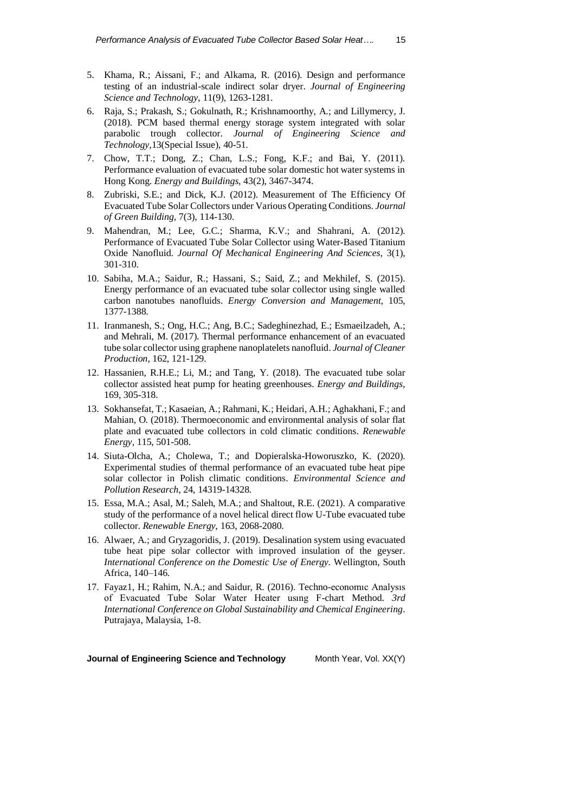- 5. Khama, R.; Aissani, F.; and Alkama, R. (2016). Design and performance testing of an industrial-scale indirect solar dryer. *Journal of Engineering Science and Technology*, 11(9), 1263-1281.
- 6. Raja, S.; Prakash, S.; Gokulnath, R.; Krishnamoorthy, A.; and Lillymercy, J. (2018). PCM based thermal energy storage system integrated with solar parabolic trough collector. *Journal of Engineering Science and Technology,*13(Special Issue), 40-51.
- 7. Chow, T.T.; Dong, Z.; Chan, L.S.; Fong, K.F.; and Bai, Y. (2011). Performance evaluation of evacuated tube solar domestic hot water systems in Hong Kong. *Energy and Buildings*, 43(2), 3467-3474.
- 8. Zubriski, S.E.; and Dick, K.J. (2012). Measurement of The Efficiency Of Evacuated Tube Solar Collectors under Various Operating Conditions. *Journal of Green Building*, 7(3), 114-130.
- 9. Mahendran, M.; Lee, G.C.; Sharma, K.V.; and Shahrani, A. (2012). Performance of Evacuated Tube Solar Collector using Water-Based Titanium Oxide Nanofluid. *Journal Of Mechanical Engineering And Sciences*, 3(1), 301-310.
- 10. Sabiha, M.A.; Saidur, R.; Hassani, S.; Said, Z.; and Mekhilef, S. (2015). Energy performance of an evacuated tube solar collector using single walled carbon nanotubes nanofluids. *Energy Conversion and Management*, 105, 1377-1388.
- 11. Iranmanesh, S.; Ong, H.C.; Ang, B.C.; Sadeghinezhad, E.; Esmaeilzadeh, A.; and Mehrali, M. (2017). Thermal performance enhancement of an evacuated tube solar collector using graphene nanoplatelets nanofluid. *Journal of Cleaner Production*, 162, 121-129.
- 12. Hassanien, R.H.E.; Li, M.; and Tang, Y. (2018). The evacuated tube solar collector assisted heat pump for heating greenhouses. *Energy and Buildings*, 169, 305-318.
- 13. Sokhansefat, T.; Kasaeian, A.; Rahmani, K.; Heidari, A.H.; Aghakhani, F.; and Mahian, O. (2018). Thermoeconomic and environmental analysis of solar flat plate and evacuated tube collectors in cold climatic conditions. *Renewable Energy*, 115, 501-508.
- 14. Siuta-Olcha, A.; Cholewa, T.; and Dopieralska-Howoruszko, K. (2020). Experimental studies of thermal performance of an evacuated tube heat pipe solar collector in Polish climatic conditions. *Environmental Science and Pollution Research*, 24, 14319-14328.
- 15. Essa, M.A.; Asal, M.; Saleh, M.A.; and Shaltout, R.E. (2021). A comparative study of the performance of a novel helical direct flow U-Tube evacuated tube collector. *Renewable Energy*, 163, 2068-2080.
- 16. Alwaer, A.; and Gryzagoridis, J. (2019). Desalination system using evacuated tube heat pipe solar collector with improved insulation of the geyser. *International Conference on the Domestic Use of Energy.* Wellington, South Africa, 140–146.
- 17. Fayaz1, H.; Rahim, N.A.; and Saidur, R. (2016). Techno-economıc Analysıs of Evacuated Tube Solar Water Heater usıng F-chart Method. *3rd International Conference on Global Sustainability and Chemical Engineering*. Putrajaya, Malaysia, 1-8.